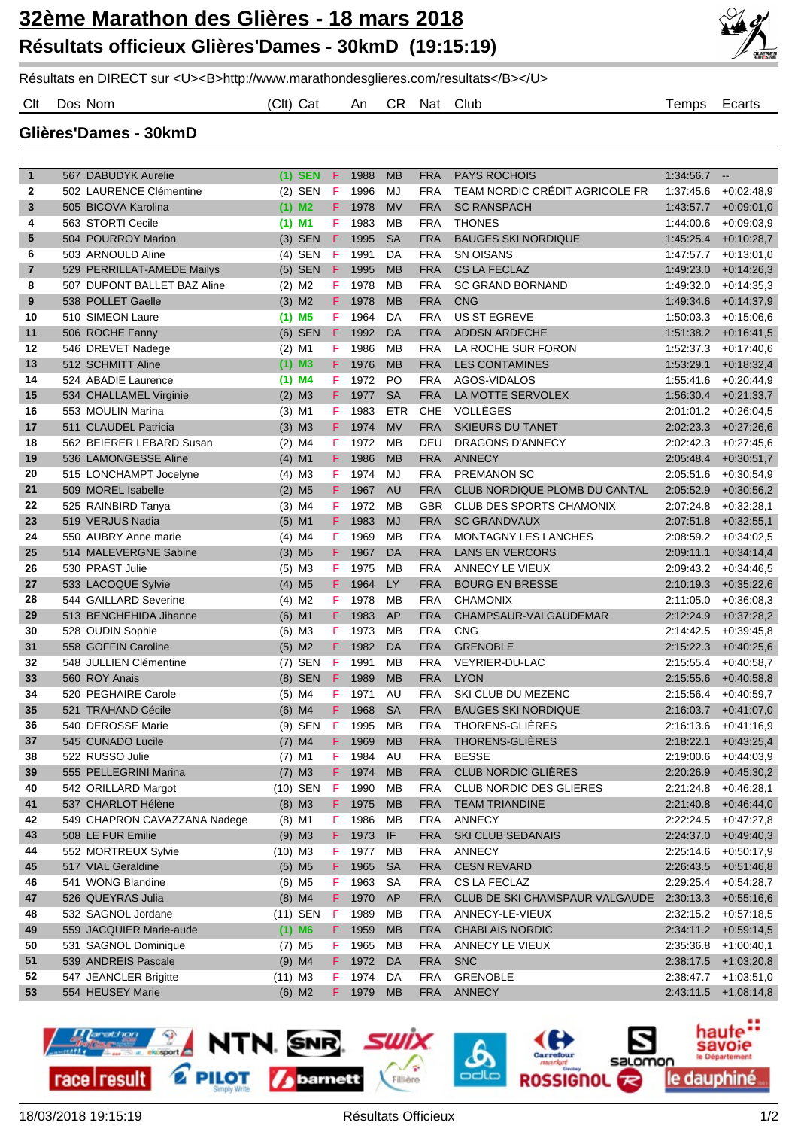

Résultats en DIRECT sur <U><B>http://www.marathondesglieres.com/resultats</B></U>

Clt Dos Nom (Clt) Cat An CR Nat Club Temps Ecarts

## **Glières'Dames - 30kmD**

| $\mathbf{1}$     | 567 DABUDYK Aurelie    |                              |                      | $(1)$ SEN            | F.       | 1988 | <b>MB</b>      | <b>FRA</b> | <b>PAYS ROCHOIS</b>             | 1:34:56.7 | $\overline{\phantom{a}}$ |
|------------------|------------------------|------------------------------|----------------------|----------------------|----------|------|----------------|------------|---------------------------------|-----------|--------------------------|
| $\mathbf{2}$     |                        | 502 LAURENCE Clémentine      |                      | $(2)$ SEN            | F        | 1996 | MJ             | <b>FRA</b> | TEAM NORDIC CRÉDIT AGRICOLE FR  | 1:37:45.6 | $+0.02:48.9$             |
| 3                | 505 BICOVA Karolina    |                              |                      | $(1)$ M <sub>2</sub> | F.       | 1978 | <b>MV</b>      | <b>FRA</b> | <b>SC RANSPACH</b>              | 1:43:57.7 | $+0.09:01,0$             |
| 4                | 563 STORTI Cecile      |                              | $(1)$ M1             |                      | F.       | 1983 | MB             | <b>FRA</b> | <b>THONES</b>                   | 1:44:00.6 | $+0.09.03.9$             |
| 5                | 504 POURROY Marion     |                              |                      | $(3)$ SEN            | F.       | 1995 | <b>SA</b>      | <b>FRA</b> | <b>BAUGES SKI NORDIQUE</b>      | 1:45:25.4 | $+0:10:28,7$             |
|                  |                        |                              |                      |                      |          |      |                |            |                                 |           |                          |
| 6                | 503 ARNOULD Aline      |                              |                      | $(4)$ SEN            | F        | 1991 | DA             | <b>FRA</b> | <b>SN OISANS</b>                | 1:47:57.7 | $+0.13.01.0$             |
| $\overline{7}$   |                        | 529 PERRILLAT-AMEDE Mailys   |                      | $(5)$ SEN            | F.       | 1995 | <b>MB</b>      | <b>FRA</b> | <b>CS LA FECLAZ</b>             | 1:49:23.0 | $+0.14.26.3$             |
| 8                |                        | 507 DUPONT BALLET BAZ Aline  | $(2)$ M <sub>2</sub> |                      | F        | 1978 | MB             | <b>FRA</b> | <b>SC GRAND BORNAND</b>         | 1:49:32.0 | $+0.14.35,3$             |
| $\boldsymbol{9}$ | 538 POLLET Gaelle      |                              |                      | $(3)$ M2             | F.       | 1978 | <b>MB</b>      | <b>FRA</b> | <b>CNG</b>                      | 1:49:34.6 | $+0.14.37,9$             |
| 10               | 510 SIMEON Laure       |                              | $(1)$ M5             |                      | F.       | 1964 | DA             | <b>FRA</b> | <b>US ST EGREVE</b>             | 1:50:03.3 | $+0.15:06,6$             |
| 11               | 506 ROCHE Fanny        |                              |                      | $(6)$ SEN            | F.       | 1992 | DA             | <b>FRA</b> | <b>ADDSN ARDECHE</b>            | 1.51.38.2 | $+0.16.41,5$             |
| 12               | 546 DREVET Nadege      |                              | $(2)$ M1             |                      | F.       | 1986 | MB             | <b>FRA</b> | LA ROCHE SUR FORON              | 1:52:37.3 | $+0.17:40,6$             |
| 13               | 512 SCHMITT Aline      |                              | $(1)$ M3             |                      | F.       | 1976 | <b>MB</b>      | <b>FRA</b> | <b>LES CONTAMINES</b>           | 1.53.29.1 | $+0.18.32,4$             |
| 14               | 524 ABADIE Laurence    |                              | $(1)$ M4             |                      | F        | 1972 | P <sub>O</sub> | <b>FRA</b> | AGOS-VIDALOS                    | 1:55:41.6 | $+0.20:44,9$             |
| 15               | 534 CHALLAMEL Virginie |                              | $(2)$ M3             |                      | F.       | 1977 | <b>SA</b>      | <b>FRA</b> | LA MOTTE SERVOLEX               | 1:56:30.4 | $+0.21:33,7$             |
| 16               | 553 MOULIN Marina      |                              | $(3)$ M1             |                      | F        | 1983 | <b>ETR</b>     | <b>CHE</b> | VOLLÈGES                        | 2:01:01.2 | $+0.26.04.5$             |
| 17               | 511 CLAUDEL Patricia   |                              | $(3)$ M3             |                      | F.       | 1974 | <b>MV</b>      | <b>FRA</b> | <b>SKIEURS DU TANET</b>         | 2:02:23.3 | $+0.27:26,6$             |
| 18               |                        | 562 BEIERER LEBARD Susan     | $(2)$ M4             |                      | F        | 1972 | <b>MB</b>      | DEU        | <b>DRAGONS D'ANNECY</b>         | 2:02:42.3 | $+0.27:45.6$             |
| 19               | 536 LAMONGESSE Aline   |                              | $(4)$ M1             |                      | F        | 1986 | <b>MB</b>      | <b>FRA</b> | <b>ANNECY</b>                   | 2:05:48.4 | $+0.30:51,7$             |
| 20               |                        | 515 LONCHAMPT Jocelyne       | $(4)$ M3             |                      | F        | 1974 | MJ             | <b>FRA</b> | <b>PREMANON SC</b>              | 2:05:51.6 | $+0.30.54,9$             |
| 21               | 509 MOREL Isabelle     |                              | $(2)$ M <sub>5</sub> |                      | F.       | 1967 | <b>AU</b>      | <b>FRA</b> | CLUB NORDIQUE PLOMB DU CANTAL   | 2:05:52.9 | $+0.30.56,2$             |
| 22               | 525 RAINBIRD Tanya     |                              | $(3)$ M4             |                      | F        | 1972 | MB             | <b>GBR</b> | <b>CLUB DES SPORTS CHAMONIX</b> | 2:07:24.8 | $+0.32:28.1$             |
| 23               | 519 VERJUS Nadia       |                              | $(5)$ M1             |                      | F.       | 1983 | <b>MJ</b>      | <b>FRA</b> | <b>SC GRANDVAUX</b>             | 2:07:51.8 | $+0.32:55,1$             |
| 24               | 550 AUBRY Anne marie   |                              | $(4)$ M4             |                      | F        | 1969 | MB             | <b>FRA</b> | MONTAGNY LES LANCHES            | 2:08:59.2 | $+0.34:02,5$             |
| 25               |                        | 514 MALEVERGNE Sabine        | $(3)$ M <sub>5</sub> |                      | F.       | 1967 | DA             | <b>FRA</b> | <b>LANS EN VERCORS</b>          | 2:09:11.1 | $+0.34:14,4$             |
| 26               | 530 PRAST Julie        |                              | $(5)$ M3             |                      | F.       | 1975 | MB             | <b>FRA</b> | ANNECY LE VIEUX                 | 2:09:43.2 | $+0.34.46.5$             |
| 27               | 533 LACOQUE Sylvie     |                              |                      | $(4)$ M <sub>5</sub> | F.       | 1964 | LY             | <b>FRA</b> | <b>BOURG EN BRESSE</b>          | 2:10:19.3 | $+0.35:22.6$             |
| 28               | 544 GAILLARD Severine  |                              | $(4)$ M <sub>2</sub> |                      | F        | 1978 | MB             | <b>FRA</b> | <b>CHAMONIX</b>                 | 2:11:05.0 | $+0.36:08,3$             |
| 29               |                        | 513 BENCHEHIDA Jihanne       | $(6)$ M1             |                      | F.       | 1983 | AP             | <b>FRA</b> | CHAMPSAUR-VALGAUDEMAR           | 2:12:24.9 | $+0:37:28,2$             |
| 30               | 528 OUDIN Sophie       |                              | $(6)$ M3             |                      | F        | 1973 | MB             | <b>FRA</b> | <b>CNG</b>                      | 2:14:42.5 | $+0.39:45,8$             |
| 31               | 558 GOFFIN Caroline    |                              |                      | $(5)$ M2             | F.       | 1982 | DA             | <b>FRA</b> | <b>GRENOBLE</b>                 | 2:15:22.3 | $+0.40:25,6$             |
| 32               | 548 JULLIEN Clémentine |                              |                      | $(7)$ SEN            | F        | 1991 | MB             | <b>FRA</b> | <b>VEYRIER-DU-LAC</b>           | 2:15:55.4 | $+0.40.58,7$             |
| 33               | 560 ROY Anais          |                              |                      | $(8)$ SEN            | F        | 1989 | <b>MB</b>      | <b>FRA</b> | <b>LYON</b>                     | 2:15:55.6 | $+0.40.58,8$             |
| 34               | 520 PEGHAIRE Carole    |                              | $(5)$ M4             |                      | F        | 1971 | AU             | <b>FRA</b> | SKI CLUB DU MEZENC              | 2:15:56.4 | $+0.40.59.7$             |
| 35               | 521 TRAHAND Cécile     |                              | $(6)$ M4             |                      | F.       | 1968 | <b>SA</b>      | <b>FRA</b> | <b>BAUGES SKI NORDIQUE</b>      | 2:16:03.7 | $+0.41:07,0$             |
| 36               | 540 DEROSSE Marie      |                              |                      | $(9)$ SEN            | F        | 1995 | MB             | <b>FRA</b> | THORENS-GLIÈRES                 | 2:16:13.6 | $+0.41:16,9$             |
| 37               | 545 CUNADO Lucile      |                              |                      | $(7)$ M4             | F.       | 1969 | <b>MB</b>      | <b>FRA</b> | <b>THORENS-GLIERES</b>          | 2:18:22.1 | $+0.43:25.4$             |
| 38               | 522 RUSSO Julie        |                              | $(7)$ M1             |                      | F        | 1984 | AU             | <b>FRA</b> | <b>BESSE</b>                    | 2.19.00.6 | $+0.44.03.9$             |
| 39               | 555 PELLEGRINI Marina  |                              |                      | $(7)$ M3             | F.       | 1974 | MB             | <b>FRA</b> | <b>CLUB NORDIC GLIÈRES</b>      | 2:20:26.9 | $+0.45:30,2$             |
| 40               | 542 ORILLARD Margot    |                              |                      | (10) SEN             | F.       | 1990 | MB             | <b>FRA</b> | CLUB NORDIC DES GLIERES         | 2:21:24.8 | $+0.46:28,1$             |
| 41               | 537 CHARLOT Hélène     |                              |                      | $(8)$ M3             | F.       | 1975 | <b>MB</b>      | <b>FRA</b> | <b>TEAM TRIANDINE</b>           | 2:21:40.8 | $+0.46:44,0$             |
| 42               |                        | 549 CHAPRON CAVAZZANA Nadege | $(8)$ M1             |                      | F.       | 1986 | MВ             | <b>FRA</b> | <b>ANNECY</b>                   | 2:22:24.5 | $+0.47:27.8$             |
| 43               | 508 LE FUR Emilie      |                              | $(9)$ M3             |                      | F.       | 1973 | IF             | <b>FRA</b> | SKI CLUB SEDANAIS               | 2:24:37.0 | $+0.49:40.3$             |
| 44               | 552 MORTREUX Sylvie    |                              | $(10)$ M3            |                      | F.       | 1977 | MB             | <b>FRA</b> | <b>ANNECY</b>                   | 2:25:14.6 | $+0.50:17,9$             |
| 45               | 517 VIAL Geraldine     |                              |                      | $(5)$ M <sub>5</sub> | F.       | 1965 | <b>SA</b>      | <b>FRA</b> | <b>CESN REVARD</b>              | 2:26:43.5 | $+0.51:46,8$             |
| 46               | 541 WONG Blandine      |                              |                      |                      |          | 1963 | <b>SA</b>      | <b>FRA</b> | CS LA FECLAZ                    | 2:29:25.4 | $+0.54:28,7$             |
| 47               | 526 QUEYRAS Julia      |                              |                      | $(6)$ M5             | F.<br>F. | 1970 | AP             | <b>FRA</b> | CLUB DE SKI CHAMSPAUR VALGAUDE  | 2:30:13.3 | $+0.55:16,6$             |
|                  | 532 SAGNOL Jordane     |                              |                      | $(8)$ M4<br>(11) SEN |          | 1989 |                | <b>FRA</b> | ANNECY-LE-VIEUX                 | 2:32:15.2 | $+0.57:18,5$             |
| 48               |                        | 559 JACQUIER Marie-aude      |                      |                      | F.       | 1959 | МB             | <b>FRA</b> |                                 | 2:34:11.2 |                          |
| 49               |                        |                              |                      | $(1)$ M6             | F.       |      | MB             |            | <b>CHABLAIS NORDIC</b>          |           | $+0.59:14.5$             |
| 50               | 531 SAGNOL Dominique   |                              |                      | $(7)$ M5             | F.       | 1965 | МB             | <b>FRA</b> | ANNECY LE VIEUX                 | 2:35:36.8 | $+1:00:40,1$             |
| 51               | 539 ANDREIS Pascale    |                              |                      | $(9)$ M4             | F.       | 1972 | DA             | <b>FRA</b> | <b>SNC</b>                      | 2:38:17.5 | $+1:03:20,8$             |
| 52               | 547 JEANCLER Brigitte  |                              | $(11)$ M3            |                      | F.       | 1974 | DA             | <b>FRA</b> | <b>GRENOBLE</b>                 | 2:38:47.7 | $+1:03:51,0$             |
| 53               | 554 HEUSEY Marie       |                              |                      | $(6)$ M2             | F.       | 1979 | <b>MB</b>      | <b>FRA</b> | <b>ANNECY</b>                   | 2:43:11.5 | $+1:08:14,8$             |